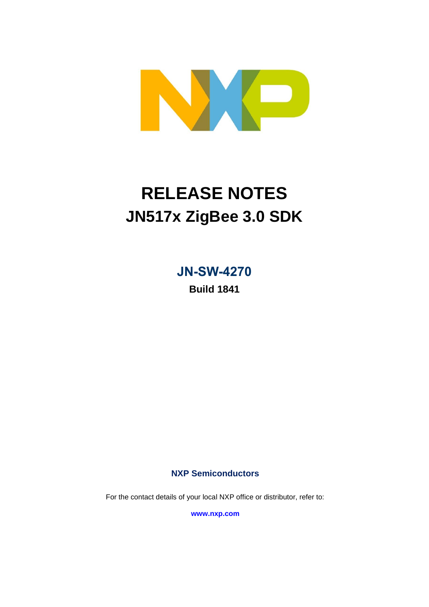

# **RELEASE NOTES JN517x ZigBee 3.0 SDK**

**JN-SW-4270**

**Build 1841**

**NXP Semiconductors**

For the contact details of your local NXP office or distributor, refer to:

**[www.nxp.com](http://www.nxp.com/)**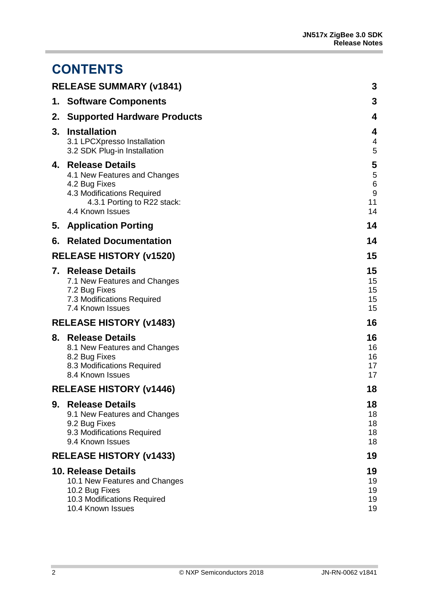### **CONTENTS**

|    | <b>RELEASE SUMMARY (v1841)</b>                                                                                                                           | 3                                          |
|----|----------------------------------------------------------------------------------------------------------------------------------------------------------|--------------------------------------------|
|    | 1. Software Components                                                                                                                                   | 3                                          |
| 2. | <b>Supported Hardware Products</b>                                                                                                                       | 4                                          |
| 3. | <b>Installation</b><br>3.1 LPCXpresso Installation<br>3.2 SDK Plug-in Installation                                                                       | 4<br>4<br>5                                |
| 4. | <b>Release Details</b><br>4.1 New Features and Changes<br>4.2 Bug Fixes<br>4.3 Modifications Required<br>4.3.1 Porting to R22 stack:<br>4.4 Known Issues | 5<br>$\mathbf 5$<br>$\,6$<br>9<br>11<br>14 |
|    | 5. Application Porting                                                                                                                                   | 14                                         |
| 6. | <b>Related Documentation</b>                                                                                                                             | 14                                         |
|    | <b>RELEASE HISTORY (v1520)</b>                                                                                                                           | 15                                         |
|    | <b>7. Release Details</b><br>7.1 New Features and Changes<br>7.2 Bug Fixes<br>7.3 Modifications Required<br>7.4 Known Issues                             | 15<br>15<br>15<br>15<br>15                 |
|    | <b>RELEASE HISTORY (v1483)</b>                                                                                                                           | 16                                         |
|    | 8. Release Details<br>8.1 New Features and Changes<br>8.2 Bug Fixes<br>8.3 Modifications Required<br>8.4 Known Issues                                    | 16<br>16<br>16<br>17<br>17                 |
|    | <b>RELEASE HISTORY (v1446)</b>                                                                                                                           | 18                                         |
| 9. | <b>Release Details</b><br>9.1 New Features and Changes<br>9.2 Bug Fixes<br>9.3 Modifications Required<br>9.4 Known Issues                                | 18<br>18<br>18<br>18<br>18                 |
|    | <b>RELEASE HISTORY (v1433)</b>                                                                                                                           | 19                                         |
|    | <b>10. Release Details</b><br>10.1 New Features and Changes<br>10.2 Bug Fixes<br>10.3 Modifications Required<br>10.4 Known Issues                        | 19<br>19<br>19<br>19<br>19                 |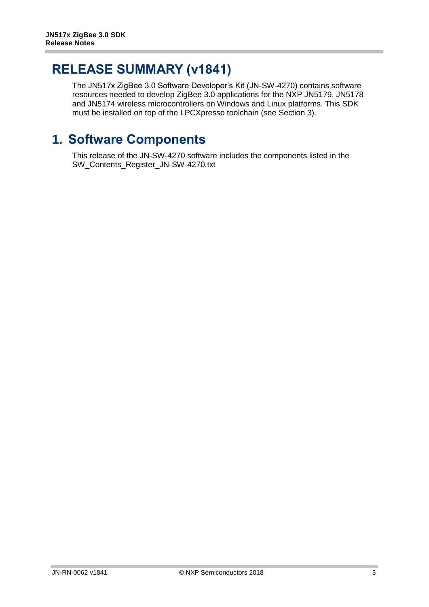### <span id="page-2-0"></span>**RELEASE SUMMARY (v1841)**

The JN517x ZigBee 3.0 Software Developer's Kit (JN-SW-4270) contains software resources needed to develop ZigBee 3.0 applications for the NXP JN5179, JN5178 and JN5174 wireless microcontrollers on Windows and Linux platforms. This SDK must be installed on top of the LPCXpresso toolchain (see Section [3\)](#page-3-1).

### <span id="page-2-1"></span>**1. Software Components**

This release of the JN-SW-4270 software includes the components listed in the SW\_Contents\_Register\_JN-SW-4270.txt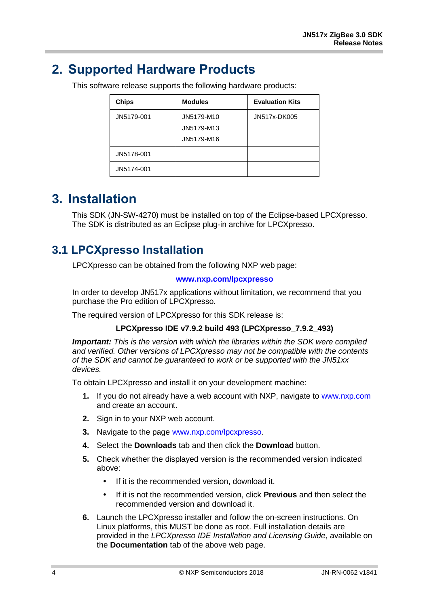### <span id="page-3-0"></span>**2. Supported Hardware Products**

| <b>Chips</b> | <b>Modules</b>                         | <b>Evaluation Kits</b> |
|--------------|----------------------------------------|------------------------|
| JN5179-001   | JN5179-M10<br>JN5179-M13<br>JN5179-M16 | JN517x-DK005           |
| JN5178-001   |                                        |                        |
| JN5174-001   |                                        |                        |

This software release supports the following hardware products:

#### <span id="page-3-1"></span>**3. Installation**

This SDK (JN-SW-4270) must be installed on top of the Eclipse-based LPCXpresso. The SDK is distributed as an Eclipse plug-in archive for LPCXpresso.

### <span id="page-3-2"></span>**3.1 LPCXpresso Installation**

LPCXpresso can be obtained from the following NXP web page:

#### **[www.nxp.com/lpcxpresso](http://www.nxp.com/lpcxpresso)**

In order to develop JN517x applications without limitation, we recommend that you purchase the Pro edition of LPCXpresso.

The required version of LPCXpresso for this SDK release is:

#### **LPCXpresso IDE v7.9.2 build 493 (LPCXpresso\_7.9.2\_493)**

*Important: This is the version with which the libraries within the SDK were compiled and verified. Other versions of LPCXpresso may not be compatible with the contents of the SDK and cannot be guaranteed to work or be supported with the JN51xx devices.*

To obtain LPCXpresso and install it on your development machine:

- **1.** If you do not already have a web account with NXP, navigate to [www.nxp.com](http://www.nxp.com/) and create an account.
- **2.** Sign in to your NXP web account.
- **3.** Navigate to the page [www.nxp.com/lpcxpresso.](http://www.nxp.com/lpcxpresso)
- **4.** Select the **Downloads** tab and then click the **Download** button.
- **5.** Check whether the displayed version is the recommended version indicated above:
	- If it is the recommended version, download it.
	- If it is not the recommended version, click **Previous** and then select the recommended version and download it.
- **6.** Launch the LPCXpresso installer and follow the on-screen instructions. On Linux platforms, this MUST be done as root. Full installation details are provided in the *LPCXpresso IDE Installation and Licensing Guide*, available on the **Documentation** tab of the above web page.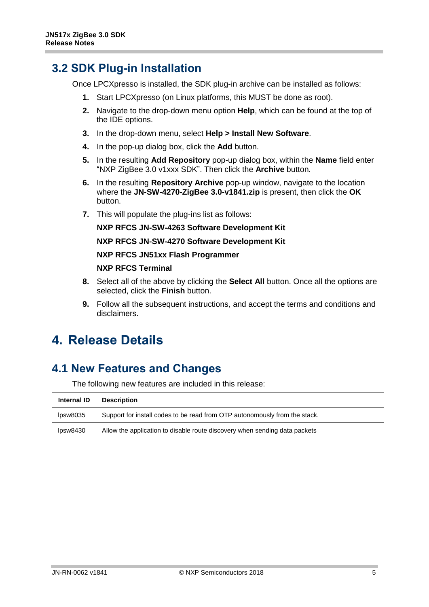#### <span id="page-4-0"></span>**3.2 SDK Plug-in Installation**

Once LPCXpresso is installed, the SDK plug-in archive can be installed as follows:

- **1.** Start LPCXpresso (on Linux platforms, this MUST be done as root).
- **2.** Navigate to the drop-down menu option **Help**, which can be found at the top of the IDE options.
- **3.** In the drop-down menu, select **Help > Install New Software**.
- **4.** In the pop-up dialog box, click the **Add** button.
- **5.** In the resulting **Add Repository** pop-up dialog box, within the **Name** field enter "NXP ZigBee 3.0 v1xxx SDK". Then click the **Archive** button.
- **6.** In the resulting **Repository Archive** pop-up window, navigate to the location where the **JN-SW-4270-ZigBee 3.0-v1841.zip** is present, then click the **OK** button.
- **7.** This will populate the plug-ins list as follows:

**NXP RFCS JN-SW-4263 Software Development Kit**

**NXP RFCS JN-SW-4270 Software Development Kit**

**NXP RFCS JN51xx Flash Programmer**

**NXP RFCS Terminal**

- **8.** Select all of the above by clicking the **Select All** button. Once all the options are selected, click the **Finish** button.
- **9.** Follow all the subsequent instructions, and accept the terms and conditions and disclaimers.

### <span id="page-4-1"></span>**4. Release Details**

#### <span id="page-4-2"></span>**4.1 New Features and Changes**

The following new features are included in this release:

| <b>Internal ID</b>                                                                     | <b>Description</b>                                                         |  |
|----------------------------------------------------------------------------------------|----------------------------------------------------------------------------|--|
| lpsw8035                                                                               | Support for install codes to be read from OTP autonomously from the stack. |  |
| Allow the application to disable route discovery when sending data packets<br>lpsw8430 |                                                                            |  |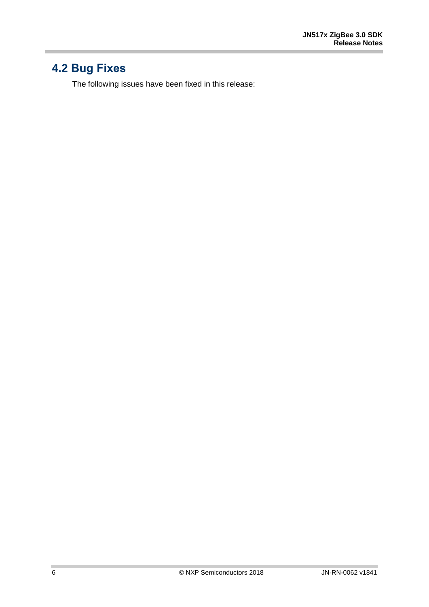### <span id="page-5-0"></span>**4.2 Bug Fixes**

The following issues have been fixed in this release: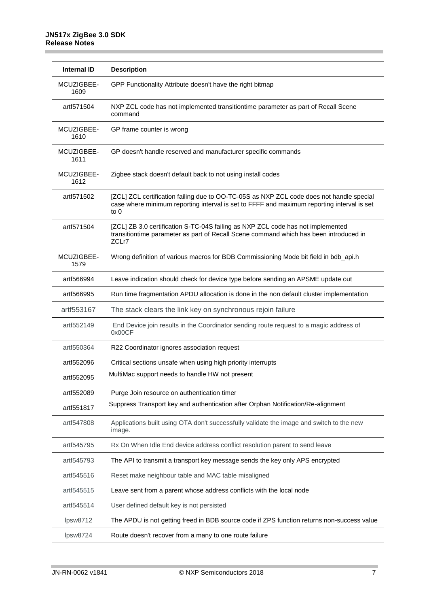| <b>Internal ID</b>                                                                        | <b>Description</b>                                                                                                                                                                               |  |  |  |
|-------------------------------------------------------------------------------------------|--------------------------------------------------------------------------------------------------------------------------------------------------------------------------------------------------|--|--|--|
| MCUZIGBEE-<br>1609                                                                        | GPP Functionality Attribute doesn't have the right bitmap                                                                                                                                        |  |  |  |
| artf571504                                                                                | NXP ZCL code has not implemented transitiontime parameter as part of Recall Scene<br>command                                                                                                     |  |  |  |
| MCUZIGBEE-<br>1610                                                                        | GP frame counter is wrong                                                                                                                                                                        |  |  |  |
| MCUZIGBEE-<br>1611                                                                        | GP doesn't handle reserved and manufacturer specific commands                                                                                                                                    |  |  |  |
| MCUZIGBEE-<br>1612                                                                        | Zigbee stack doesn't default back to not using install codes                                                                                                                                     |  |  |  |
| artf571502                                                                                | [ZCL] ZCL certification failing due to OO-TC-05S as NXP ZCL code does not handle special<br>case where minimum reporting interval is set to FFFF and maximum reporting interval is set<br>to $0$ |  |  |  |
| artf571504                                                                                | [ZCL] ZB 3.0 certification S-TC-04S failing as NXP ZCL code has not implemented<br>transitiontime parameter as part of Recall Scene command which has been introduced in<br>ZCLr7                |  |  |  |
| MCUZIGBEE-<br>1579                                                                        | Wrong definition of various macros for BDB Commissioning Mode bit field in bdb_api.h                                                                                                             |  |  |  |
| artf566994                                                                                | Leave indication should check for device type before sending an APSME update out                                                                                                                 |  |  |  |
| artf566995                                                                                | Run time fragmentation APDU allocation is done in the non default cluster implementation                                                                                                         |  |  |  |
| artf553167                                                                                | The stack clears the link key on synchronous rejoin failure                                                                                                                                      |  |  |  |
| artf552149                                                                                | End Device join results in the Coordinator sending route request to a magic address of<br>0x00CF                                                                                                 |  |  |  |
| artf550364                                                                                | R22 Coordinator ignores association request                                                                                                                                                      |  |  |  |
| artf552096                                                                                | Critical sections unsafe when using high priority interrupts                                                                                                                                     |  |  |  |
| artf552095                                                                                | MultiMac support needs to handle HW not present                                                                                                                                                  |  |  |  |
| artf552089                                                                                | Purge Join resource on authentication timer                                                                                                                                                      |  |  |  |
| artf551817                                                                                | Suppress Transport key and authentication after Orphan Notification/Re-alignment                                                                                                                 |  |  |  |
| artf547808                                                                                | Applications built using OTA don't successfully validate the image and switch to the new<br>image.                                                                                               |  |  |  |
| Rx On When Idle End device address conflict resolution parent to send leave<br>artf545795 |                                                                                                                                                                                                  |  |  |  |
| artf545793                                                                                | The API to transmit a transport key message sends the key only APS encrypted                                                                                                                     |  |  |  |
| artf545516                                                                                | Reset make neighbour table and MAC table misaligned                                                                                                                                              |  |  |  |
| artf545515                                                                                | Leave sent from a parent whose address conflicts with the local node                                                                                                                             |  |  |  |
| artf545514                                                                                | User defined default key is not persisted                                                                                                                                                        |  |  |  |
| lpsw8712                                                                                  | The APDU is not getting freed in BDB source code if ZPS function returns non-success value                                                                                                       |  |  |  |
| lpsw8724                                                                                  | Route doesn't recover from a many to one route failure                                                                                                                                           |  |  |  |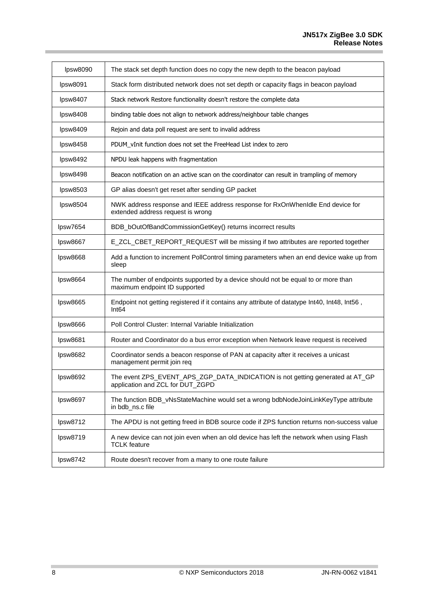i

| lpsw8090 | The stack set depth function does no copy the new depth to the beacon payload                                       |  |  |  |
|----------|---------------------------------------------------------------------------------------------------------------------|--|--|--|
| lpsw8091 | Stack form distributed network does not set depth or capacity flags in beacon payload                               |  |  |  |
| lpsw8407 | Stack network Restore functionality doesn't restore the complete data                                               |  |  |  |
| lpsw8408 | binding table does not align to network address/neighbour table changes                                             |  |  |  |
| lpsw8409 | Rejoin and data poll request are sent to invalid address                                                            |  |  |  |
| lpsw8458 | PDUM_vInit function does not set the FreeHead List index to zero                                                    |  |  |  |
| lpsw8492 | NPDU leak happens with fragmentation                                                                                |  |  |  |
| lpsw8498 | Beacon notification on an active scan on the coordinator can result in trampling of memory                          |  |  |  |
| lpsw8503 | GP alias doesn't get reset after sending GP packet                                                                  |  |  |  |
| lpsw8504 | NWK address response and IEEE address response for RxOnWhenIdle End device for<br>extended address request is wrong |  |  |  |
| lpsw7654 | BDB_bOutOfBandCommissionGetKey() returns incorrect results                                                          |  |  |  |
| lpsw8667 | E_ZCL_CBET_REPORT_REQUEST will be missing if two attributes are reported together                                   |  |  |  |
| lpsw8668 | Add a function to increment PollControl timing parameters when an end device wake up from<br>sleep                  |  |  |  |
| lpsw8664 | The number of endpoints supported by a device should not be equal to or more than<br>maximum endpoint ID supported  |  |  |  |
| lpsw8665 | Endpoint not getting registered if it contains any attribute of datatype Int40, Int48, Int56,<br>Int64              |  |  |  |
| lpsw8666 | Poll Control Cluster: Internal Variable Initialization                                                              |  |  |  |
| lpsw8681 | Router and Coordinator do a bus error exception when Network leave request is received                              |  |  |  |
| lpsw8682 | Coordinator sends a beacon response of PAN at capacity after it receives a unicast<br>management permit join req    |  |  |  |
| lpsw8692 | The event ZPS_EVENT_APS_ZGP_DATA_INDICATION is not getting generated at AT_GP<br>application and ZCL for DUT_ZGPD   |  |  |  |
| lpsw8697 | The function BDB_vNsStateMachine would set a wrong bdbNodeJoinLinkKeyType attribute<br>in bdb_ns.c file             |  |  |  |
| lpsw8712 | The APDU is not getting freed in BDB source code if ZPS function returns non-success value                          |  |  |  |
| lpsw8719 | A new device can not join even when an old device has left the network when using Flash<br><b>TCLK</b> feature      |  |  |  |
| lpsw8742 | Route doesn't recover from a many to one route failure                                                              |  |  |  |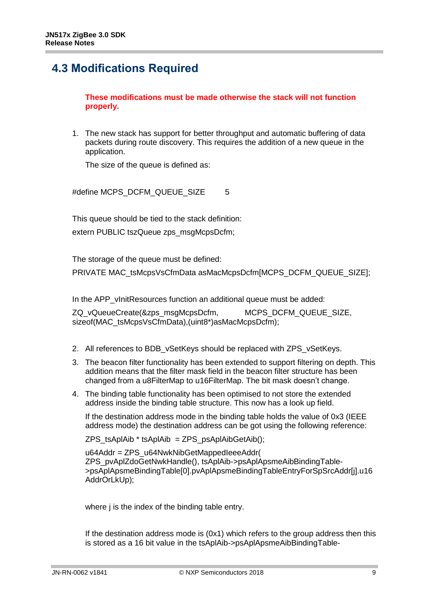#### <span id="page-8-0"></span>**4.3 Modifications Required**

**These modifications must be made otherwise the stack will not function properly.**

1. The new stack has support for better throughput and automatic buffering of data packets during route discovery. This requires the addition of a new queue in the application.

The size of the queue is defined as:

#define MCPS\_DCFM\_QUEUE\_SIZE 5

This queue should be tied to the stack definition:

extern PUBLIC tszQueue zps\_msgMcpsDcfm;

The storage of the queue must be defined:

PRIVATE MAC\_tsMcpsVsCfmData asMacMcpsDcfm[MCPS\_DCFM\_QUEUE\_SIZE];

In the APP vInitResources function an additional queue must be added:

ZQ\_vQueueCreate(&zps\_msgMcpsDcfm, MCPS\_DCFM\_QUEUE\_SIZE, sizeof(MAC\_tsMcpsVsCfmData),(uint8\*)asMacMcpsDcfm);

- 2. All references to BDB\_vSetKeys should be replaced with ZPS\_vSetKeys.
- 3. The beacon filter functionality has been extended to support filtering on depth. This addition means that the filter mask field in the beacon filter structure has been changed from a u8FilterMap to u16FilterMap. The bit mask doesn't change.
- 4. The binding table functionality has been optimised to not store the extended address inside the binding table structure. This now has a look up field.

If the destination address mode in the binding table holds the value of 0x3 (IEEE address mode) the destination address can be got using the following reference:

ZPS\_tsAplAib \* tsAplAib = ZPS\_psAplAibGetAib();

u64Addr = ZPS\_u64NwkNibGetMappedIeeeAddr( ZPS\_pvAplZdoGetNwkHandle(), tsAplAib->psAplApsmeAibBindingTable- >psAplApsmeBindingTable[0].pvAplApsmeBindingTableEntryForSpSrcAddr[j].u16 AddrOrLkUp);

where j is the index of the binding table entry.

If the destination address mode is (0x1) which refers to the group address then this is stored as a 16 bit value in the tsAplAib->psAplApsmeAibBindingTable-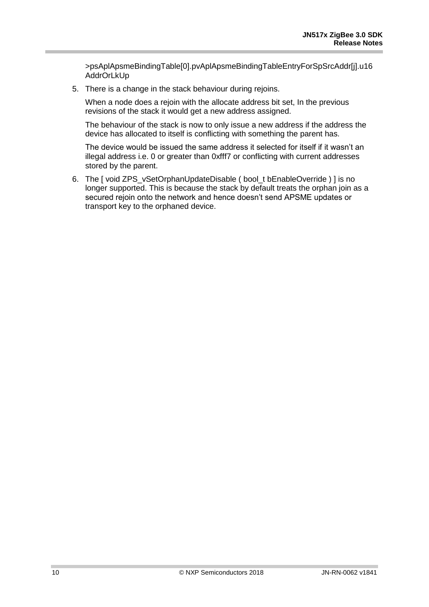>psAplApsmeBindingTable[0].pvAplApsmeBindingTableEntryForSpSrcAddr[j].u16 **AddrOrLkUp** 

5. There is a change in the stack behaviour during rejoins.

When a node does a rejoin with the allocate address bit set, In the previous revisions of the stack it would get a new address assigned.

The behaviour of the stack is now to only issue a new address if the address the device has allocated to itself is conflicting with something the parent has.

The device would be issued the same address it selected for itself if it wasn't an illegal address i.e. 0 or greater than 0xfff7 or conflicting with current addresses stored by the parent.

6. The [ void ZPS\_vSetOrphanUpdateDisable ( bool\_t bEnableOverride ) ] is no longer supported. This is because the stack by default treats the orphan join as a secured rejoin onto the network and hence doesn't send APSME updates or transport key to the orphaned device.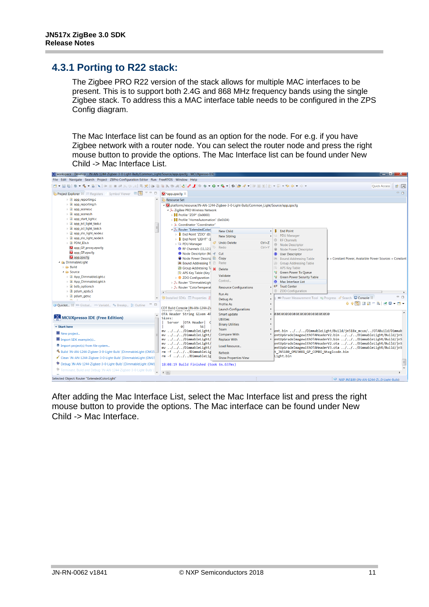#### <span id="page-10-0"></span>**4.3.1 Porting to R22 stack:**

The Zigbee PRO R22 version of the stack allows for multiple MAC interfaces to be present. This is to support both 2.4G and 868 MHz frequency bands using the single Zigbee stack. To address this a MAC interface table needs to be configured in the ZPS Config diagram.

The Mac Interface list can be found as an option for the node. For e.g. if you have Zigbee network with a router node. You can select the router node and press the right mouse button to provide the options. The Mac Interface list can be found under New Child -> Mac Interface List.



After adding the Mac Interface List, select the Mac Interface list and press the right mouse button to provide the options. The Mac interface can be found under New Child -> Mac Interface.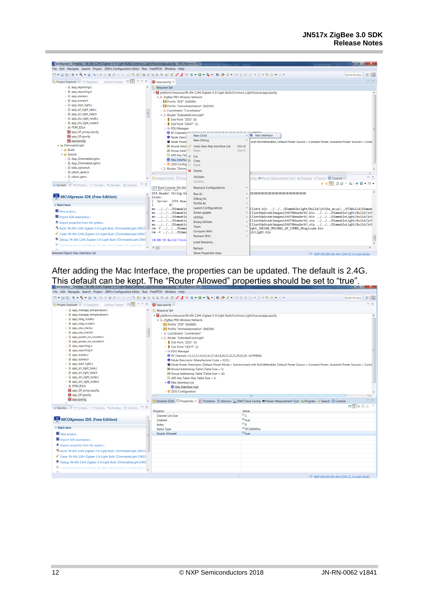| V workspace - Develop - JN-AN-1244-Zigbee-3-0-Light-Bulb/Common_Light/Source/app.zpscfq - MCUXpresso IDE |                                                                       |                                                                                      | $\Box$ of $\mathsf{x}$                                                                                                               |  |
|----------------------------------------------------------------------------------------------------------|-----------------------------------------------------------------------|--------------------------------------------------------------------------------------|--------------------------------------------------------------------------------------------------------------------------------------|--|
| File Edit Navigate Search Project ZBPro Configuration Editor Run FreeRTOS Window Help                    |                                                                       |                                                                                      |                                                                                                                                      |  |
|                                                                                                          |                                                                       |                                                                                      | Quick Access:<br>■ 区                                                                                                                 |  |
| Project Explorer & Will Registers & Symbol Viewer $\Box$                                                 | app.zpscfg &                                                          |                                                                                      | - 0                                                                                                                                  |  |
| $\triangleright$ <b>e</b> app_reporting.c                                                                | <b>Resource Set</b>                                                   |                                                                                      |                                                                                                                                      |  |
| in app reporting.h                                                                                       |                                                                       | - platform:/resource/JN-AN-1244-Zigbee-3-0-Light-Bulb/Common_Light/Source/app.zpscfg |                                                                                                                                      |  |
| <b>D</b> app_scenes.c                                                                                    | ▲ ‰ ZigBee PRO Wireless Network                                       |                                                                                      |                                                                                                                                      |  |
| b in app scenes.h                                                                                        | <b>B</b> Profile "ZDP" (0x0000)                                       |                                                                                      |                                                                                                                                      |  |
| ▷ <b><i>e</i></b> app_start_light.c                                                                      | <b>B</b> Profile "HomeAutomation" (0x0104)                            |                                                                                      |                                                                                                                                      |  |
| <b>E</b> app zcl light task.c                                                                            | » & Coordinator "Coordinator"                                         |                                                                                      |                                                                                                                                      |  |
| <b>E app_zcl_light_task.h</b>                                                                            | - X Router "ExtendedColorLight"                                       |                                                                                      |                                                                                                                                      |  |
| ▷ <i>c</i> app_zlo_light_node.c<br>▷ h app_zlo_light_node.h                                              | $\triangleright$ <b>E</b> End Point "ZDO" (0)                         |                                                                                      |                                                                                                                                      |  |
| ▷ h PDM_IDs.h                                                                                            | $\triangleright$ <b>E</b> End Point "LIGHT" (1)                       |                                                                                      |                                                                                                                                      |  |
| app_GP_proxy.zpscfq                                                                                      | <b>PDU Manager</b><br>RF Channels <sup>233</sup>                      |                                                                                      |                                                                                                                                      |  |
| app_GP.zpscfq                                                                                            | <b>O</b> Node Descr                                                   | <b>New Child</b>                                                                     | Mac Interface                                                                                                                        |  |
| app.zpscfq                                                                                               | Node Power                                                            | <b>New Sibling</b>                                                                   | with RxOnWhenIdle, Default Power Source = Constant Power, Avalaible Power Sources = Const                                            |  |
| - Ca DimmableLight                                                                                       | <b>Bound Addr</b><br>ఆ                                                | Undo New Mac Interface List<br>$Ctrl + Z$                                            |                                                                                                                                      |  |
| $\triangleright$ $\triangleright$ Build                                                                  | Group Addr                                                            | $Ctrl+Y$<br>Redo                                                                     |                                                                                                                                      |  |
| ▲ <b>B</b> Source                                                                                        | <b>R</b> APS Key Tab                                                  | Cut                                                                                  |                                                                                                                                      |  |
| <b>B</b> App DimmableLight.c                                                                             | Mac Interfac                                                          | Copy                                                                                 |                                                                                                                                      |  |
| <b>B</b> App_DimmableLight.h                                                                             | <b>Example 2DO Config</b>                                             | Paste                                                                                |                                                                                                                                      |  |
| <b>A</b> bdb options.h                                                                                   | ▷ 34 Router "Dimma                                                    | <b>Delete</b>                                                                        |                                                                                                                                      |  |
| <b>S</b> pdum apdu.S<br><b>D</b> dum_gen.c                                                               | $\epsilon$                                                            |                                                                                      |                                                                                                                                      |  |
| m.                                                                                                       | <b>T</b> Installed SDKs <b>E</b> Prop                                 | Validate<br>Control                                                                  | <b>COL</b><br>onfig <b>ED</b> Power Measurement Tool B Progress / Search <b>ED Console</b> &                                         |  |
| <b>U Quickst</b> 83 M Global (x) Variabl <sup>o</sup> Breakp <b>E</b> Outline                            |                                                                       |                                                                                      | $9 + 12 = 12$                                                                                                                        |  |
|                                                                                                          | <b>CDT Build Console [JN-AN-</b>                                      | <b>Resource Configurations</b>                                                       |                                                                                                                                      |  |
|                                                                                                          | OTA Header String Gi                                                  | Run As                                                                               | 38303030303030303030303030303030                                                                                                     |  |
| MCUXpresso IDE (Free Edition)                                                                            | Sizes:<br>Server   OTA Head                                           | Debug As                                                                             |                                                                                                                                      |  |
| <b>v</b> Start here                                                                                      | <b>a</b> l                                                            | <b>Profile As</b>                                                                    |                                                                                                                                      |  |
|                                                                                                          | mv ///Dimmable                                                        | <b>Launch Configurations</b>                                                         | Client.bin ///DimmableLight/Build/jn518x mcux//OTABuild/Dimmab                                                                       |  |
| New project                                                                                              | $\ldots / \ldots / \ldots /$ Dimmable<br>mv                           | Smart update                                                                         | ClientUpGradeImagewithOTAHeaderV2.bin ///DimmableLight/Build/jn5                                                                     |  |
| Import SDK example(s)                                                                                    | mv ///Dimmable<br>mv ///Dimmable                                      | <b>Utilities</b>                                                                     | ClientUpGradeImagewithOTAHeaderV3.bin ///DimmableLight/Build/jn5<br>ClientUpGradeImagewithOTAHeaderV2.ota ///DimmableLight/Build/jn5 |  |
| <sup>1</sup> Import project(s) from file system                                                          | mv ///Dimmable                                                        | <b>Binary Utilities</b>                                                              | ClientUpGradeImagewithOTAHeaderV3.ota ///DimmableLight/Build/jn5                                                                     |  |
| 6 Build 'JN-AN-1244-Zigbee-3-0-Light-Bulb' [DimmableLight (OM15                                          | Team<br>ight JN5180 OM15081 GP COMBO NtagIcode.bin<br>$rm-f$ ///Dimma |                                                                                      |                                                                                                                                      |  |
| Clean 'JN-AN-1244-Zigbee-3-0-Light-Bulb' [DimmableLight (OM15                                            | $rm-f$ ///Dimma                                                       | <b>Compare With</b><br><b>Replace With</b>                                           | 1d/Light.bin                                                                                                                         |  |
| <sup>特</sup> Debug 'JN-AN-1244-Zigbee-3-0-Light-Bulb' [DimmableLight (OM1                                | 18:08:19 Build Finis                                                  |                                                                                      | $\equiv$                                                                                                                             |  |
| <sup>¥</sup> Terminate, Build and Debug 'JN-AN-1244-Zigbee-3-0-Light-Bulb' [ _                           | Load Resource<br>$\leftarrow$ 111                                     |                                                                                      |                                                                                                                                      |  |
| Selected Object: Mac Interface List                                                                      |                                                                       | <b>Refresh</b><br><b>Show Properties View</b>                                        | $\{0\}$ AIVO INICION (IN) AN 1944 7: A LIFE BUILY                                                                                    |  |

After adding the Mac Interface, the properties can be updated. The default is 2.4G. This default can be kept. The "Router Allowed" properties should be set to "true".

| File Edit Navigate Search Project ZBPro Configuration Editor Run FreeRTOS Window Help                                                                                                                                                                                                                                                                                                                                                                                                                                   |                                                                                                                                                                                                                                                                                                                                                                                                                                                                                                                                                                                                                                                                                                                                                                                                                                                                       |                                                                                                                                                                                         |                      |
|-------------------------------------------------------------------------------------------------------------------------------------------------------------------------------------------------------------------------------------------------------------------------------------------------------------------------------------------------------------------------------------------------------------------------------------------------------------------------------------------------------------------------|-----------------------------------------------------------------------------------------------------------------------------------------------------------------------------------------------------------------------------------------------------------------------------------------------------------------------------------------------------------------------------------------------------------------------------------------------------------------------------------------------------------------------------------------------------------------------------------------------------------------------------------------------------------------------------------------------------------------------------------------------------------------------------------------------------------------------------------------------------------------------|-----------------------------------------------------------------------------------------------------------------------------------------------------------------------------------------|----------------------|
|                                                                                                                                                                                                                                                                                                                                                                                                                                                                                                                         |                                                                                                                                                                                                                                                                                                                                                                                                                                                                                                                                                                                                                                                                                                                                                                                                                                                                       |                                                                                                                                                                                         | Quick Access   B   X |
| Project Explorer 83 1899 Registers & Symbol Viewer 日图 マコロ                                                                                                                                                                                                                                                                                                                                                                                                                                                               | app.zpscfq 88                                                                                                                                                                                                                                                                                                                                                                                                                                                                                                                                                                                                                                                                                                                                                                                                                                                         |                                                                                                                                                                                         | $=$ $\Box$           |
| <b>E</b> app manage temperature.c                                                                                                                                                                                                                                                                                                                                                                                                                                                                                       | Resource Set                                                                                                                                                                                                                                                                                                                                                                                                                                                                                                                                                                                                                                                                                                                                                                                                                                                          |                                                                                                                                                                                         |                      |
| > B app_manage_temperature.h<br>i code.c<br>» In app ntag icode.h<br><b>E</b> app ota client.c<br>> B app_ota_client.h<br>i c app power on counter.c<br>> B app_power_on_counter.h<br>$\triangleright$ <b>c</b> app reporting.c<br><b>A</b> app_reporting.h<br>$\triangleright$ <b>c</b> app scenes.c<br><b>E</b> app scenes.h<br>▷ <i>a</i> app_start_light.c<br>▷ <i>a</i> app_zcl_light_task.c<br><b>B</b> app_zcl_light_task.h<br>▷ <i>a</i> app_zlo_light_node.c<br>> B app_zlo_light_node.h<br><b>E PDM IDs.h</b> | - Diatform:/resource/JN-AN-1244-Zigbee-3-0-Light-Bulb/Common_Light/Source/app.zpscfg<br>- 3: ZigBee PRO Wireless Network<br><b>B</b> <sup>2</sup> Profile "ZDP" (0x0000)<br>> 88 Profile "HomeAutomation" (0x0104)<br>⊳ » Coordinator "Coordinator"<br>▲ ‰ Router "ExtendedColorLight"<br>$\triangleright$ <b>E</b> End Point "ZDO" (0)<br><b>B</b> End Point "LIGHT" (1)<br><b>DE PDU Manager</b><br>RF Channels (11,12,13,14,15,16,17,18,19,20,21,22,23,24,25,26 : 0x7fff800)<br>Node Descriptor (Manufacturer Code = 4151)<br>Node Power Descriptor (Default Power Mode = Synchronised with RxOnWhenIdle, Default Power Source = Constant Power, Avalaible Power Sources = Const<br>Bound Addressing Table (Table Size = 5)<br>Group Addressing Table (Table Size = 16)<br>$\sim$ APS Key Table (Key Table Size = 1)<br>A Mac Interface List<br>Mac Interface true |                                                                                                                                                                                         |                      |
| app_GP_proxy.zpscfq                                                                                                                                                                                                                                                                                                                                                                                                                                                                                                     | <b>2</b> ZDO Configuration                                                                                                                                                                                                                                                                                                                                                                                                                                                                                                                                                                                                                                                                                                                                                                                                                                            |                                                                                                                                                                                         |                      |
| app GP.zpscfg                                                                                                                                                                                                                                                                                                                                                                                                                                                                                                           | $\overline{a}$                                                                                                                                                                                                                                                                                                                                                                                                                                                                                                                                                                                                                                                                                                                                                                                                                                                        |                                                                                                                                                                                         | <b>Inches</b>        |
| app.zpscfq<br><b>Service</b> State                                                                                                                                                                                                                                                                                                                                                                                                                                                                                      |                                                                                                                                                                                                                                                                                                                                                                                                                                                                                                                                                                                                                                                                                                                                                                                                                                                                       | 1 Installed SDKs <b>III</b> Properties <sup>22</sup> all Problems <b>D</b> Memory <b>2</b> SWO Trace Config <b>■</b> Power Measurement Tool B Progress <b>/</b> Search <b>D</b> Console | $ -$                 |
| $ -$<br>U Quickst 83 M- Global (x)-Variabl ® Breakp B Outline                                                                                                                                                                                                                                                                                                                                                                                                                                                           |                                                                                                                                                                                                                                                                                                                                                                                                                                                                                                                                                                                                                                                                                                                                                                                                                                                                       |                                                                                                                                                                                         | ■国参属版 ™              |
|                                                                                                                                                                                                                                                                                                                                                                                                                                                                                                                         | Property                                                                                                                                                                                                                                                                                                                                                                                                                                                                                                                                                                                                                                                                                                                                                                                                                                                              | Value                                                                                                                                                                                   |                      |
| $\overline{\phantom{a}}$                                                                                                                                                                                                                                                                                                                                                                                                                                                                                                | <b>Channel List Size</b>                                                                                                                                                                                                                                                                                                                                                                                                                                                                                                                                                                                                                                                                                                                                                                                                                                              | $\overline{14}$ 1                                                                                                                                                                       |                      |
| MCUXpresso IDE (Free Edition)                                                                                                                                                                                                                                                                                                                                                                                                                                                                                           | Enabled                                                                                                                                                                                                                                                                                                                                                                                                                                                                                                                                                                                                                                                                                                                                                                                                                                                               | $\frac{1}{2}$ true                                                                                                                                                                      |                      |
| <b>v</b> Start here                                                                                                                                                                                                                                                                                                                                                                                                                                                                                                     | Index                                                                                                                                                                                                                                                                                                                                                                                                                                                                                                                                                                                                                                                                                                                                                                                                                                                                 | $\overline{H}$ <sup>0</sup><br>$E = RT2400MHz$                                                                                                                                          |                      |
| New project                                                                                                                                                                                                                                                                                                                                                                                                                                                                                                             | <b>Radio Type</b><br><b>Router Allowed</b>                                                                                                                                                                                                                                                                                                                                                                                                                                                                                                                                                                                                                                                                                                                                                                                                                            | <b>M<sub>k</sub></b> true                                                                                                                                                               |                      |
| Import SDK example(s)                                                                                                                                                                                                                                                                                                                                                                                                                                                                                                   |                                                                                                                                                                                                                                                                                                                                                                                                                                                                                                                                                                                                                                                                                                                                                                                                                                                                       |                                                                                                                                                                                         |                      |
| <sup>1</sup> Import project(s) from file system                                                                                                                                                                                                                                                                                                                                                                                                                                                                         |                                                                                                                                                                                                                                                                                                                                                                                                                                                                                                                                                                                                                                                                                                                                                                                                                                                                       |                                                                                                                                                                                         |                      |
| 8 Build 'JN-AN-1244-Zigbee-3-0-Light-Bulb' [DimmableLight (OM15                                                                                                                                                                                                                                                                                                                                                                                                                                                         |                                                                                                                                                                                                                                                                                                                                                                                                                                                                                                                                                                                                                                                                                                                                                                                                                                                                       |                                                                                                                                                                                         |                      |
| Clean 'JN-AN-1244-Zigbee-3-0-Light-Bulb' [DimmableLight (OM15                                                                                                                                                                                                                                                                                                                                                                                                                                                           |                                                                                                                                                                                                                                                                                                                                                                                                                                                                                                                                                                                                                                                                                                                                                                                                                                                                       |                                                                                                                                                                                         |                      |
| <sup>特</sup> Debug 'JN-AN-1244-Zigbee-3-0-Light-Bulb' [DimmableLight (OM1                                                                                                                                                                                                                                                                                                                                                                                                                                               |                                                                                                                                                                                                                                                                                                                                                                                                                                                                                                                                                                                                                                                                                                                                                                                                                                                                       |                                                                                                                                                                                         |                      |
| 带 Terminate, Build and Debug 'JN-AN-1244-Zigbee-3-0-Light-Bulb' [                                                                                                                                                                                                                                                                                                                                                                                                                                                       |                                                                                                                                                                                                                                                                                                                                                                                                                                                                                                                                                                                                                                                                                                                                                                                                                                                                       |                                                                                                                                                                                         |                      |
|                                                                                                                                                                                                                                                                                                                                                                                                                                                                                                                         |                                                                                                                                                                                                                                                                                                                                                                                                                                                                                                                                                                                                                                                                                                                                                                                                                                                                       | NXP JN5189 (JN-AN-1244-ZiO-Light-Bulb)                                                                                                                                                  |                      |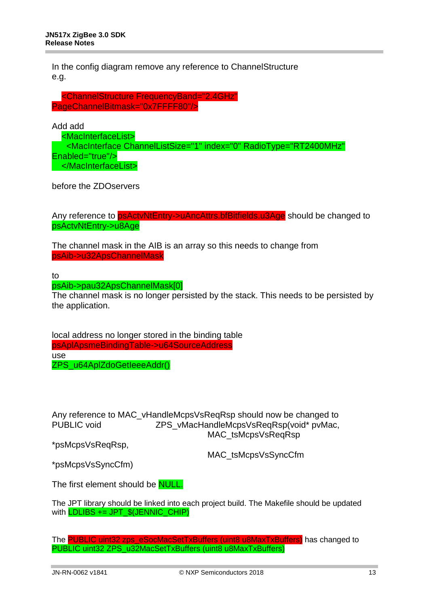In the config diagram remove any reference to ChannelStructure e.g.

 <ChannelStructure FrequencyBand="2.4GHz" PageChannelBitmask="0x7FFFF80"/>

Add add

 <MacInterfaceList> <MacInterface ChannelListSize="1" index="0" RadioType="RT2400MHz" Enabled="true"/> </MacInterfaceList>

before the ZDOservers

Any reference to psActyNtEntry->uAncAttrs.bfBitfields.u3Age should be changed to psActvNtEntry->u8Age

The channel mask in the AIB is an array so this needs to change from psAib->u32ApsChannelMask

to

psAib->pau32ApsChannelMask[0]

The channel mask is no longer persisted by the stack. This needs to be persisted by the application.

local address no longer stored in the binding table psAplApsmeBindingTable->u64SourceAddress use ZPS\_u64AplZdoGetIeeeAddr()

Any reference to MAC\_vHandleMcpsVsReqRsp should now be changed to<br>PUBLIC void 7PS vMacHandleMcpsVsReqRsp(void\* pyMac ZPS\_vMacHandleMcpsVsReqRsp(void\* pvMac, MAC\_tsMcpsVsReqRsp

\*psMcpsVsReqRsp,

MAC\_tsMcpsVsSyncCfm

\*psMcpsVsSyncCfm)

The first element should be **NULL**.

The JPT library should be linked into each project build. The Makefile should be updated with **LDLIBS += JPT\_\$(JENNIC\_CHIP)** 

The PUBLIC uint32 zps\_eSocMacSetTxBuffers (uint8 u8MaxTxBuffers) has changed to PUBLIC uint32 ZPS\_u32MacSetTxBuffers (uint8 u8MaxTxBuffers)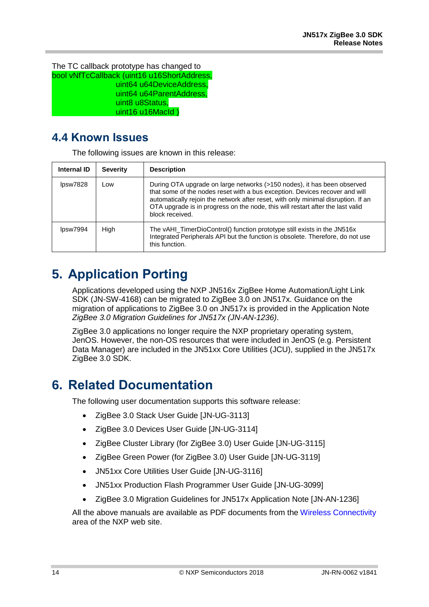The TC callback prototype has changed to bool vNfTcCallback (uint16 u16ShortAddress, uint64 u64DeviceAddress, uint64 u64ParentAddress, uint8 u8Status, uint16 u16MacId )

#### <span id="page-13-0"></span>**4.4 Known Issues**

The following issues are known in this release:

| Internal ID | <b>Severity</b> | <b>Description</b>                                                                                                                                                                                                                                                                                                                               |
|-------------|-----------------|--------------------------------------------------------------------------------------------------------------------------------------------------------------------------------------------------------------------------------------------------------------------------------------------------------------------------------------------------|
| lpsw7828    | Low             | During OTA upgrade on large networks (>150 nodes), it has been observed<br>that some of the nodes reset with a bus exception. Devices recover and will<br>automatically rejoin the network after reset, with only minimal disruption. If an<br>OTA upgrade is in progress on the node, this will restart after the last valid<br>block received. |
| lpsw7994    | High            | The vAHI TimerDioControl() function prototype still exists in the JN516x<br>Integrated Peripherals API but the function is obsolete. Therefore, do not use<br>this function.                                                                                                                                                                     |

### <span id="page-13-1"></span>**5. Application Porting**

Applications developed using the NXP JN516x ZigBee Home Automation/Light Link SDK (JN-SW-4168) can be migrated to ZigBee 3.0 on JN517x. Guidance on the migration of applications to ZigBee 3.0 on JN517x is provided in the Application Note *ZigBee 3.0 Migration Guidelines for JN517x (JN-AN-1236)*.

ZigBee 3.0 applications no longer require the NXP proprietary operating system, JenOS. However, the non-OS resources that were included in JenOS (e.g. Persistent Data Manager) are included in the JN51xx Core Utilities (JCU), supplied in the JN517x ZigBee 3.0 SDK.

### <span id="page-13-2"></span>**6. Related Documentation**

The following user documentation supports this software release:

- ZigBee 3.0 Stack User Guide [JN-UG-3113]
- ZigBee 3.0 Devices User Guide [JN-UG-3114]
- ZigBee Cluster Library (for ZigBee 3.0) User Guide [JN-UG-3115]
- ZigBee Green Power (for ZigBee 3.0) User Guide [JN-UG-3119]
- JN51xx Core Utilities User Guide [JN-UG-3116]
- JN51xx Production Flash Programmer User Guide [JN-UG-3099]
- ZigBee 3.0 Migration Guidelines for JN517x Application Note [JN-AN-1236]

All the above manuals are available as PDF documents from the [Wireless Connectivity](http://www.nxp.com/products/wireless-connectivity:WIRELESS-CONNECTIVITY) area of the NXP web site.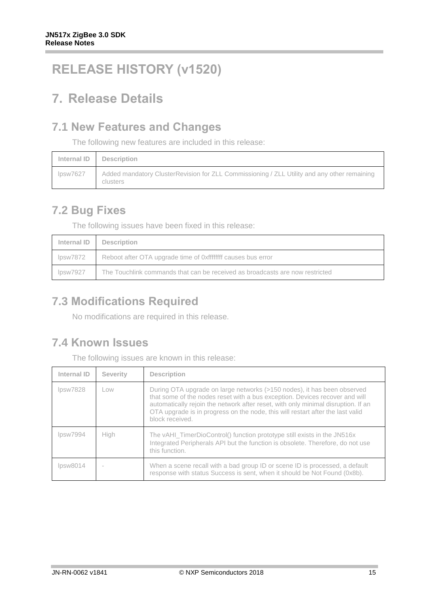## <span id="page-14-0"></span>**RELEASE HISTORY (v1520)**

### <span id="page-14-1"></span>**7. Release Details**

#### <span id="page-14-2"></span>**7.1 New Features and Changes**

The following new features are included in this release:

| Internal ID | <b>Description</b>                                                                                      |  |
|-------------|---------------------------------------------------------------------------------------------------------|--|
| DSW7627     | Added mandatory ClusterRevision for ZLL Commissioning / ZLL Utility and any other remaining<br>clusters |  |

#### <span id="page-14-3"></span>**7.2 Bug Fixes**

The following issues have been fixed in this release:

| Internal ID<br><b>Description</b>                                       |                                                                              |
|-------------------------------------------------------------------------|------------------------------------------------------------------------------|
| Ipsw7872   Reboot after OTA upgrade time of 0xffffffff causes bus error |                                                                              |
| lpsw7927                                                                | The Touchlink commands that can be received as broadcasts are now restricted |

#### <span id="page-14-4"></span>**7.3 Modifications Required**

No modifications are required in this release.

#### <span id="page-14-5"></span>**7.4 Known Issues**

| Internal ID | <b>Severity</b> | <b>Description</b>                                                                                                                                                                                                                                                                                                                               |  |
|-------------|-----------------|--------------------------------------------------------------------------------------------------------------------------------------------------------------------------------------------------------------------------------------------------------------------------------------------------------------------------------------------------|--|
| lpsw7828    | Low             | During OTA upgrade on large networks (>150 nodes), it has been observed<br>that some of the nodes reset with a bus exception. Devices recover and will<br>automatically rejoin the network after reset, with only minimal disruption. If an<br>OTA upgrade is in progress on the node, this will restart after the last valid<br>block received. |  |
| lpsw7994    | High            | The vAHI TimerDioControl() function prototype still exists in the JN516x<br>Integrated Peripherals API but the function is obsolete. Therefore, do not use<br>this function.                                                                                                                                                                     |  |
| DSW8014     |                 | When a scene recall with a bad group ID or scene ID is processed, a default<br>response with status Success is sent, when it should be Not Found (0x8b).                                                                                                                                                                                         |  |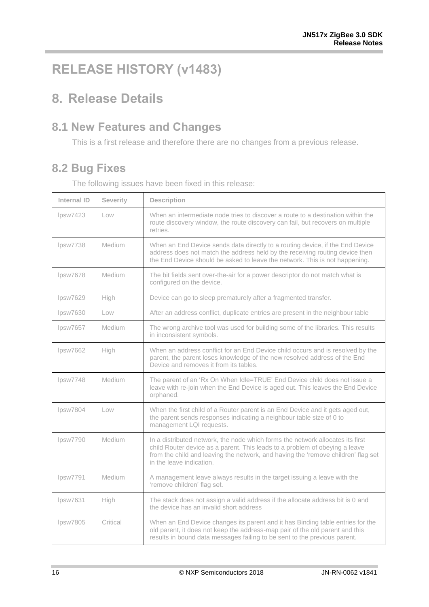## <span id="page-15-0"></span>**RELEASE HISTORY (v1483)**

### <span id="page-15-1"></span>**8. Release Details**

#### <span id="page-15-2"></span>**8.1 New Features and Changes**

This is a first release and therefore there are no changes from a previous release.

#### <span id="page-15-3"></span>**8.2 Bug Fixes**

The following issues have been fixed in this release:

| Internal ID | Severity         | <b>Description</b>                                                                                                                                                                                                                                                             |  |
|-------------|------------------|--------------------------------------------------------------------------------------------------------------------------------------------------------------------------------------------------------------------------------------------------------------------------------|--|
| lpsw7423    | Low              | When an intermediate node tries to discover a route to a destination within the<br>route discovery window, the route discovery can fail, but recovers on multiple<br>retries.                                                                                                  |  |
| lpsw7738    | Medium           | When an End Device sends data directly to a routing device, if the End Device<br>address does not match the address held by the receiving routing device then<br>the End Device should be asked to leave the network. This is not happening.                                   |  |
| lpsw7678    | Medium           | The bit fields sent over-the-air for a power descriptor do not match what is<br>configured on the device.                                                                                                                                                                      |  |
| lpsw7629    | High             | Device can go to sleep prematurely after a fragmented transfer.                                                                                                                                                                                                                |  |
| lpsw7630    | Low              | After an address conflict, duplicate entries are present in the neighbour table                                                                                                                                                                                                |  |
| lpsw7657    | Medium           | The wrong archive tool was used for building some of the libraries. This results<br>in inconsistent symbols.                                                                                                                                                                   |  |
| lpsw7662    | High             | When an address conflict for an End Device child occurs and is resolved by the<br>parent, the parent loses knowledge of the new resolved address of the End<br>Device and removes it from its tables.                                                                          |  |
| lpsw7748    | Medium           | The parent of an 'Rx On When Idle=TRUE' End Device child does not issue a<br>leave with re-join when the End Device is aged out. This leaves the End Device<br>orphaned.                                                                                                       |  |
| lpsw7804    | L <sub>O</sub> W | When the first child of a Router parent is an End Device and it gets aged out,<br>the parent sends responses indicating a neighbour table size of 0 to<br>management LQI requests.                                                                                             |  |
| lossw7790   | Medium           | In a distributed network, the node which forms the network allocates its first<br>child Router device as a parent. This leads to a problem of obeying a leave<br>from the child and leaving the network, and having the 'remove children' flag set<br>in the leave indication. |  |
| lpsw7791    | <b>Medium</b>    | A management leave always results in the target issuing a leave with the<br>'remove children' flag set.                                                                                                                                                                        |  |
| lpsw7631    | High             | The stack does not assign a valid address if the allocate address bit is 0 and<br>the device has an invalid short address                                                                                                                                                      |  |
| lpsw7805    | Critical         | When an End Device changes its parent and it has Binding table entries for the<br>old parent, it does not keep the address-map pair of the old parent and this<br>results in bound data messages failing to be sent to the previous parent.                                    |  |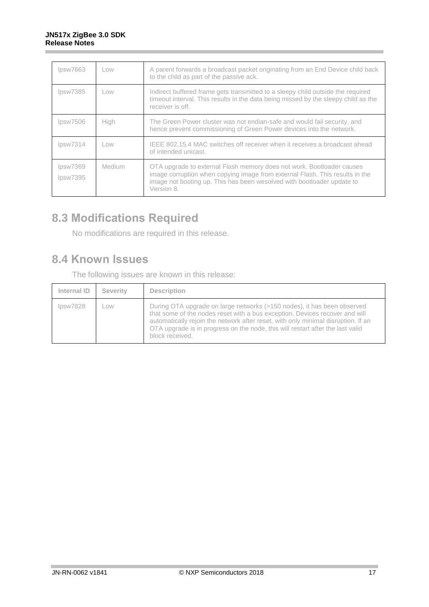| lpsw7663             | Low          | A parent forwards a broadcast packet originating from an End Device child back<br>to the child as part of the passive ack.                                                                                                                    |
|----------------------|--------------|-----------------------------------------------------------------------------------------------------------------------------------------------------------------------------------------------------------------------------------------------|
| lpsw7385             | $\sim$ 0 $W$ | Indirect buffered frame gets transmitted to a sleepy child outside the required<br>timeout interval. This results in the data being missed by the sleepy child as the<br>receiver is off.                                                     |
| lpsw7506             | High         | The Green Power cluster was not endian-safe and would fail security, and<br>hence prevent commissioning of Green Power devices into the network.                                                                                              |
| lpsw7314             | $\sim$ 0 $W$ | IEEE 802.15.4 MAC switches off receiver when it receives a broadcast ahead<br>of intended unicast.                                                                                                                                            |
| lpsw7369<br>lpsw7395 | Medium       | OTA upgrade to external Flash memory does not work. Bootloader causes<br>image corruption when copying image from external Flash. This results in the<br>image not booting up. This has been wesolved with bootloader update to<br>Version 8. |

#### <span id="page-16-0"></span>**8.3 Modifications Required**

No modifications are required in this release.

#### <span id="page-16-1"></span>**8.4 Known Issues**

| Internal ID | <b>Severity</b> | <b>Description</b>                                                                                                                                                                                                                                                                                                                               |
|-------------|-----------------|--------------------------------------------------------------------------------------------------------------------------------------------------------------------------------------------------------------------------------------------------------------------------------------------------------------------------------------------------|
| DSW7828     | Low             | During OTA upgrade on large networks (>150 nodes), it has been observed<br>that some of the nodes reset with a bus exception. Devices recover and will<br>automatically rejoin the network after reset, with only minimal disruption. If an<br>OTA upgrade is in progress on the node, this will restart after the last valid<br>block received. |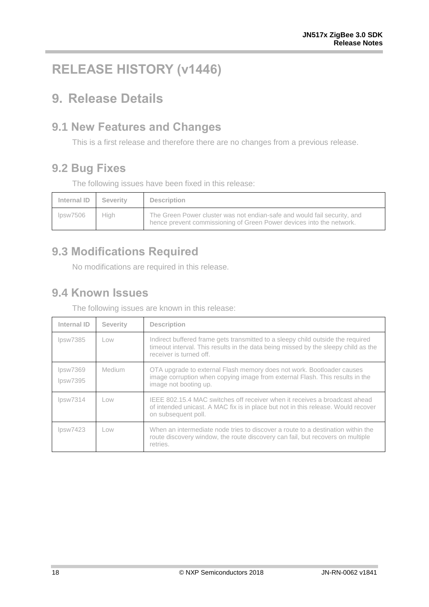## <span id="page-17-0"></span>**RELEASE HISTORY (v1446)**

### <span id="page-17-1"></span>**9. Release Details**

#### <span id="page-17-2"></span>**9.1 New Features and Changes**

This is a first release and therefore there are no changes from a previous release.

#### <span id="page-17-3"></span>**9.2 Bug Fixes**

The following issues have been fixed in this release:

| Internal ID Severity |      | <b>Description</b>                                                                                                                               |
|----------------------|------|--------------------------------------------------------------------------------------------------------------------------------------------------|
| lpsw7506             | High | The Green Power cluster was not endian-safe and would fail security, and<br>hence prevent commissioning of Green Power devices into the network. |

#### <span id="page-17-4"></span>**9.3 Modifications Required**

No modifications are required in this release.

#### <span id="page-17-5"></span>**9.4 Known Issues**

| Internal ID          | <b>Severity</b> | <b>Description</b>                                                                                                                                                                               |
|----------------------|-----------------|--------------------------------------------------------------------------------------------------------------------------------------------------------------------------------------------------|
| lpsw7385             | Low             | Indirect buffered frame gets transmitted to a sleepy child outside the required<br>timeout interval. This results in the data being missed by the sleepy child as the<br>receiver is turned off. |
| lpsw7369<br>lpsw7395 | <b>Medium</b>   | OTA upgrade to external Flash memory does not work. Bootloader causes<br>image corruption when copying image from external Flash. This results in the<br>image not booting up.                   |
| lpsw7314             | $\sim$          | IEEE 802.15.4 MAC switches off receiver when it receives a broadcast ahead<br>of intended unicast. A MAC fix is in place but not in this release. Would recover<br>on subsequent poll.           |
| lpsw7423             | Low             | When an intermediate node tries to discover a route to a destination within the<br>route discovery window, the route discovery can fail, but recovers on multiple<br>retries.                    |